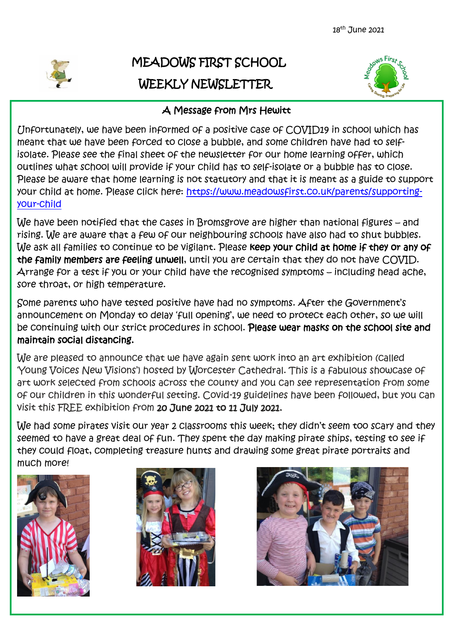

# MEADOWS FIRST SCHOOL WEEKLY NEWSLETTER



# A Message from Mrs Hewitt

Unfortunately, we have been informed of a positive case of COVID19 in school which has meant that we have been forced to close a bubble, and some children have had to selfisolate. Please see the final sheet of the newsletter for our home learning offer, which outlines what school will provide if your child has to self-isolate or a bubble has to close. Please be aware that home learning is not statutory and that it is meant as a guide to support your child at home. Please click here: [https://www.meadowsfirst.co.uk/parents/supporting](https://www.meadowsfirst.co.uk/parents/supporting-your-child)[your-child](https://www.meadowsfirst.co.uk/parents/supporting-your-child)

We have been notified that the cases in Bromsgrove are higher than national figures – and rising. We are aware that a few of our neighbouring schools have also had to shut bubbles. We ask all families to continue to be vigilant. Please keep your child at home if they or any of the family members are feeling unwell, until you are certain that they do not have COVID. Arrange for a test if you or your child have the recognised symptoms – including head ache, sore throat, or high temperature.

Some parents who have tested positive have had no symptoms. After the Government's announcement on Monday to delay 'full opening', we need to protect each other, so we will be continuing with our strict procedures in school. Please wear masks on the school site and maintain social distancing.

We are pleased to announce that we have again sent work into an art exhibition (called 'Young Voices New Visions') hosted by Worcester Cathedral. This is a fabulous showcase of art work selected from schools across the county and you can see representation from some of our children in this wonderful setting. Covid-19 guidelines have been followed, but you can visit this FREE exhibition from 20 June 2021 to 11 July 2021.

We had some pirates visit our year 2 Classrooms this week; they didn't seem too scary and they seemed to have a great deal of fun. They spent the day making pirate ships, testing to see if they could float, completing treasure hunts and drawing some great pirate portraits and much more!





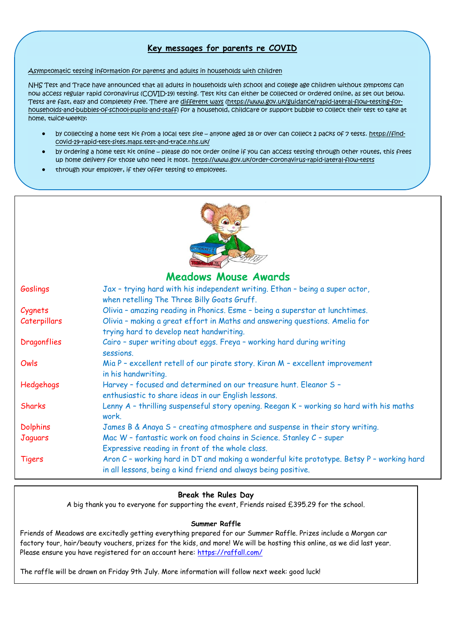## **Key messages for parents re COVID**

#### Asymptomatic testing information for parents and adults in households with children

NHS Test and Trace have announced that all adults in households with school and college age children without symptoms can now access regular rapid coronavirus (COVID-19) testing. Test kits can either be collected or ordered online, as set out below. Tests are fast, easy and completely free. There are [different ways](https://www.gov.uk/guidance/rapid-lateral-flow-testing-for-households-and-bubbles-of-school-pupils-and-staff) [\(https://www.gov.uk/guidance/rapid-lateral-flow-testing-for](https://www.gov.uk/guidance/rapid-lateral-flow-testing-for-households-and-bubbles-of-school-pupils-and-staff)[households-and-bubbles-of-school-pupils-and-staff\)](https://www.gov.uk/guidance/rapid-lateral-flow-testing-for-households-and-bubbles-of-school-pupils-and-staff) for a household, childcare or support bubble to collect their test to take at home, twice-weekly:

- by collecting a home test kit from a local test site anyone aged 18 or over can collect 2 packs of 7 tests. [https://find](https://find-covid-19-rapid-test-sites.maps.test-and-trace.nhs.uk/)[covid-19-rapid-test-sites.maps.test-and-trace.nhs.uk/](https://find-covid-19-rapid-test-sites.maps.test-and-trace.nhs.uk/)
- by ordering a home test kit online please do not order online if you can access testing through other routes, this frees up home delivery for those who need it most. <https://www.gov.uk/order-coronavirus-rapid-lateral-flow-tests>
- through your employer, if they offer testing to employees.



## **Meadows Mouse Awards**

| Goslings            | Jax - trying hard with his independent writing. Ethan - being a super actor,<br>when retelling The Three Billy Goats Gruff.                                 |  |  |  |
|---------------------|-------------------------------------------------------------------------------------------------------------------------------------------------------------|--|--|--|
| Cygnets             | Olivia - amazing reading in Phonics. Esme - being a superstar at lunchtimes.                                                                                |  |  |  |
| <b>Caterpillars</b> | Olivia - making a great effort in Maths and answering questions. Amelia for<br>trying hard to develop neat handwriting.                                     |  |  |  |
| Dragonflies         | Cairo - super writing about eggs. Freya - working hard during writing<br>sessions.                                                                          |  |  |  |
| Owls                | Mia P - excellent retell of our pirate story. Kiran M - excellent improvement<br>in his handwriting.                                                        |  |  |  |
| Hedgehogs           | Harvey - focused and determined on our treasure hunt. Eleanor S -<br>enthusiastic to share ideas in our English lessons.                                    |  |  |  |
| <b>Sharks</b>       | Lenny A - thrilling suspenseful story opening. Reegan K - working so hard with his maths<br>work.                                                           |  |  |  |
| <b>Dolphins</b>     | James B & Anaya S - creating atmosphere and suspense in their story writing.                                                                                |  |  |  |
| Jaguars             | Mac W - fantastic work on food chains in Science. Stanley C - super                                                                                         |  |  |  |
|                     | Expressive reading in front of the whole class.                                                                                                             |  |  |  |
| <b>Tigers</b>       | Aron C - working hard in DT and making a wonderful kite prototype. Betsy P - working hard<br>in all lessons, being a kind friend and always being positive. |  |  |  |

### **Break the Rules Day**

A big thank you to everyone for supporting the event, Friends raised £395.29 for the school.

### **Summer Raffle**

Friends of Meadows are excitedly getting everything prepared for our Summer Raffle. Prizes include a Morgan car factory tour, hair/beauty vouchers, prizes for the kids, and more! We will be hosting this online, as we did last year. Please ensure you have registered for an account here: <https://raffall.com/>

The raffle will be drawn on Friday 9th July. More information will follow next week: good luck!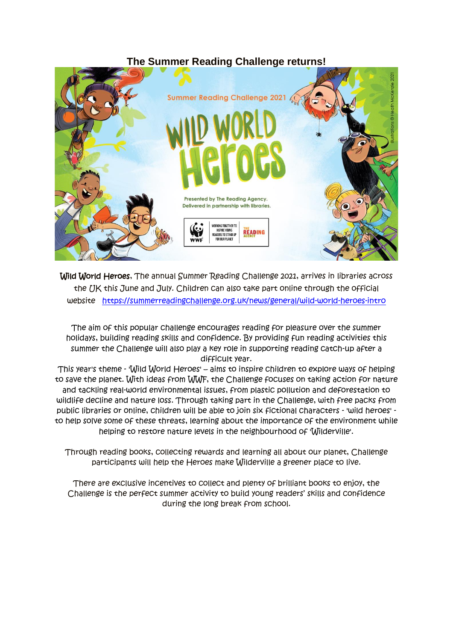# **The Summer Reading Challenge returns!**



Wild World Heroes, The annual Summer Reading Challenge 2021, arrives in libraries across the UK this June and July. Children can also take part online through the official website <https://summerreadingchallenge.org.uk/news/general/wild-world-heroes-intro>

The aim of this popular challenge encourages reading for pleasure over the summer holidays, building reading skills and confidence. By providing fun reading activities this summer the Challenge will also play a key role in supporting reading catch-up after a difficult year.

This year's theme - 'Wild World Heroes' – aims to inspire children to explore ways of helping to save the planet. With ideas from WWF, the Challenge focuses on taking action for nature and tackling real-world environmental issues, from plastic pollution and deforestation to wildlife decline and nature loss. Through taking part in the Challenge, with free packs from public libraries or online, children will be able to join six fictional characters - 'wild heroes' to help solve some of these threats, learning about the importance of the environment while helping to restore nature levels in the neighbourhood of 'Wilderville'.

Through reading books, collecting rewards and learning all about our planet, Challenge participants will help the Heroes make Wilderville a greener place to live.

There are exclusive incentives to collect and plenty of brilliant books to enjoy, the Challenge is the perfect summer activity to build young readers' skills and confidence during the long break from school.